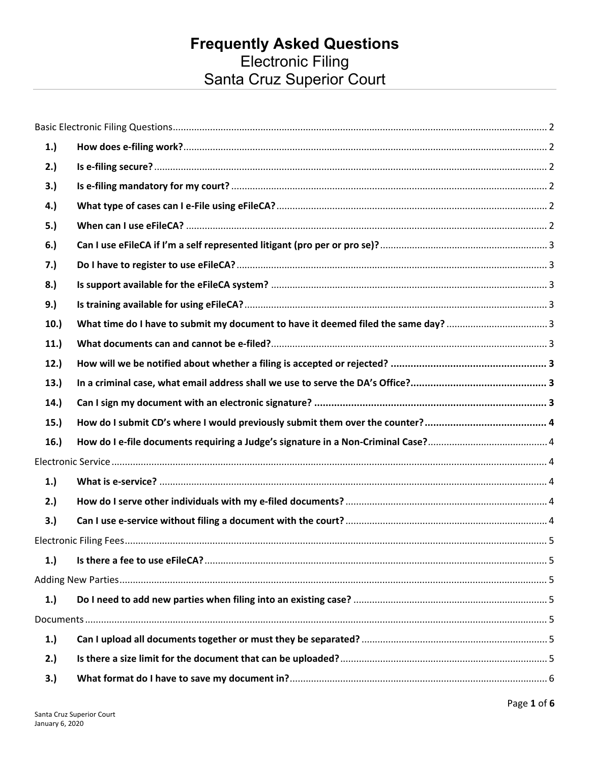# Frequently Asked Questions<br>Electronic Filing<br>Santa Cruz Superior Court

| 1.)  |  |
|------|--|
| 2.)  |  |
| 3.)  |  |
| 4.)  |  |
| 5.)  |  |
| 6.)  |  |
| 7.)  |  |
| 8.)  |  |
| 9.)  |  |
| 10.  |  |
| 11.) |  |
| 12.  |  |
| 13.  |  |
| 14.  |  |
| 15.  |  |
| 16.  |  |
|      |  |
| 1.)  |  |
| 2.)  |  |
| 3.)  |  |
|      |  |
| 1.)  |  |
|      |  |
| 1.)  |  |
|      |  |
| 1.   |  |
| 2.)  |  |
| 3.)  |  |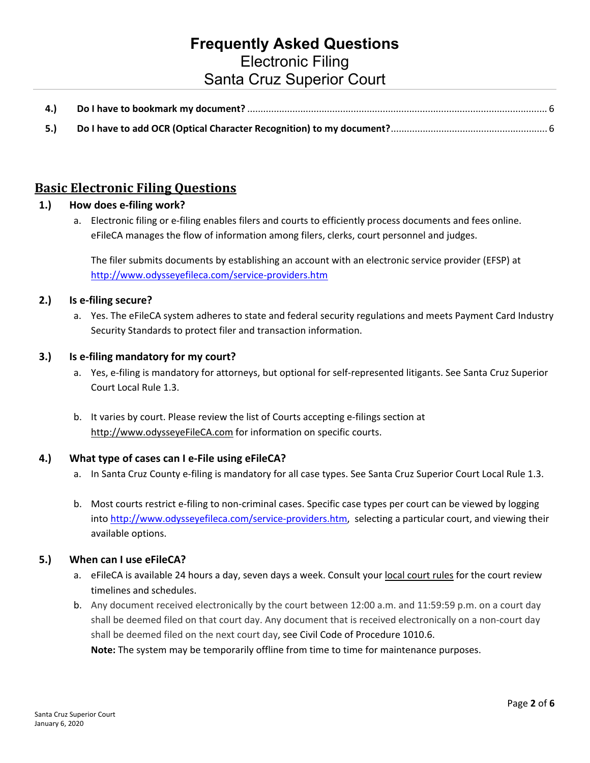# **Frequently Asked Questions** Electronic Filing Santa Cruz Superior Court

| 5.) |  |
|-----|--|

# <span id="page-1-0"></span>**Basic Electronic Filing Questions**

#### <span id="page-1-1"></span>**1.) How does e-filing work?**

a. Electronic filing or e-filing enables filers and courts to efficiently process documents and fees online. eFileCA manages the flow of information among filers, clerks, court personnel and judges.

The filer submits documents by establishing an account with an electronic service provider (EFSP) at <http://www.odysseyefileca.com/service-providers.htm>

#### <span id="page-1-2"></span>**2.) Is e-filing secure?**

a. Yes. The eFileCA system adheres to state and federal security regulations and meets Payment Card Industry Security Standards to protect filer and transaction information.

#### <span id="page-1-3"></span>**3.) Is e-filing mandatory for my court?**

- a. Yes, e-filing is mandatory for attorneys, but optional for self-represented litigants. See Santa Cruz Superior Court Local Rule 1.3.
- b. It varies by court. Please review the list of Courts accepting e-filings section at [http://www.odysseyeFileCA.com](http://www.odysseyefileca.com/) for information on specific courts.

#### <span id="page-1-4"></span>**4.) What type of cases can I e-File using eFileCA?**

- a. In Santa Cruz County e-filing is mandatory for all case types. See Santa Cruz Superior Court Local Rule 1.3.
- b. Most courts restrict e-filing to non-criminal cases. Specific case types per court can be viewed by logging into [http://www.odysseyefileca.com/service-providers.htm,](http://www.odysseyefileca.com/service-providers.htm) selecting a particular court, and viewing their available options.

#### <span id="page-1-5"></span>**5.) When can I use eFileCA?**

- a. eFileCA is available 24 hours a day, seven days a week. Consult you[r local court rules](http://www.santacruzcourt.org/sites/default/files/pdfs/FINAL%20Local%20Rules%20of%20Court%2012.9.15.pdf) for the court review timelines and schedules.
- b. Any document received electronically by the court between 12:00 a.m. and 11:59:59 p.m. on a court day shall be deemed filed on that court day. Any document that is received electronically on a non-court day shall be deemed filed on the next court day, see Civil Code of Procedure 1010.6.

**Note:** The system may be temporarily offline from time to time for maintenance purposes.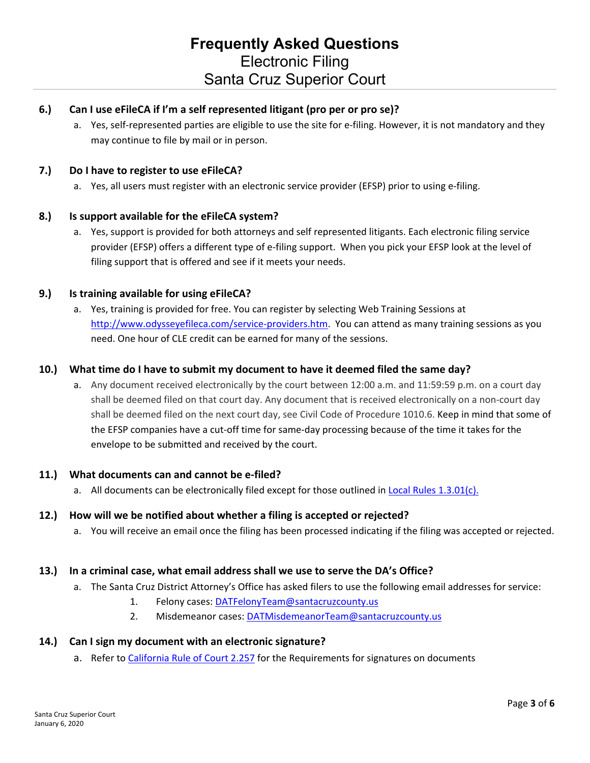#### <span id="page-2-0"></span>**6.) Can I use eFileCA if I'm a self represented litigant (pro per or pro se)?**

a. Yes, self-represented parties are eligible to use the site for e-filing. However, it is not mandatory and they may continue to file by mail or in person.

#### <span id="page-2-1"></span>**7.) Do I have to register to use eFileCA?**

a. Yes, all users must register with an electronic service provider (EFSP) prior to using e-filing.

#### <span id="page-2-2"></span>**8.) Is support available for the eFileCA system?**

a. Yes, support is provided for both attorneys and self represented litigants. Each electronic filing service provider (EFSP) offers a different type of e-filing support. When you pick your EFSP look at the level of filing support that is offered and see if it meets your needs.

#### <span id="page-2-3"></span>**9.) Is training available for using eFileCA?**

a. Yes, training is provided for free. You can register by selecting Web Training Sessions at [http://www.odysseyefileca.com/service-providers.htm.](http://www.odysseyefileca.com/service-providers.htm) You can attend as many training sessions as you need. One hour of CLE credit can be earned for many of the sessions.

#### <span id="page-2-4"></span>**10.) What time do I have to submit my document to have it deemed filed the same day?**

a. Any document received electronically by the court between 12:00 a.m. and 11:59:59 p.m. on a court day shall be deemed filed on that court day. Any document that is received electronically on a non-court day shall be deemed filed on the next court day, see Civil Code of Procedure 1010.6. Keep in mind that some of the EFSP companies have a cut-off time for same-day processing because of the time it takes for the envelope to be submitted and received by the court.

#### <span id="page-2-5"></span>**11.) What documents can and cannot be e-filed?**

a. All documents can be electronically filed except for those outlined in [Local Rules 1.3.01\(c\).](http://www.santacruzcourt.org/sites/default/files/pdfs/Local%20Rules%20of%20Court%20July%202018.pdf?1539295922330)

#### <span id="page-2-6"></span>**12.) How will we be notified about whether a filing is accepted or rejected?**

a. You will receive an email once the filing has been processed indicating if the filing was accepted or rejected.

#### <span id="page-2-7"></span>**13.) In a criminal case, what email address shall we use to serve the DA's Office?**

- a. The Santa Cruz District Attorney's Office has asked filers to use the following email addresses for service:
	- 1. Felony cases: [DATFelonyTeam@santacruzcounty.us](mailto:DATFelonyTeam@santacruzcounty.us)
	- 2. Misdemeanor cases: [DATMisdemeanorTeam@santacruzcounty.us](mailto:DATMisdemeanorTeam@santacruzcounty.us)

#### <span id="page-2-8"></span>**14.) Can I sign my document with an electronic signature?**

a. Refer to [California Rule of Court 2.257](http://www.courts.ca.gov/cms/rules/index.cfm?title=two&linkid=rule2_257) for the Requirements for signatures on documents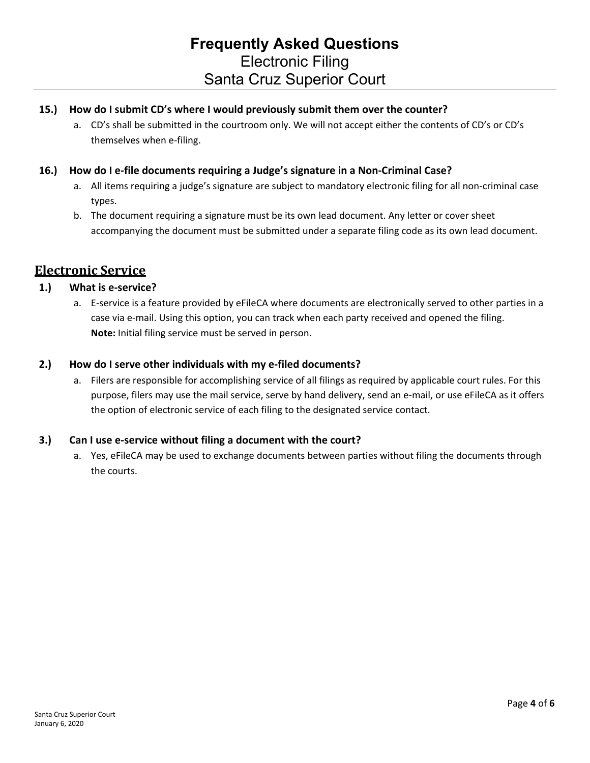#### <span id="page-3-0"></span>**15.) How do I submit CD's where I would previously submit them over the counter?**

a. CD's shall be submitted in the courtroom only. We will not accept either the contents of CD's or CD's themselves when e-filing.

#### <span id="page-3-1"></span>**16.) How do I e-file documents requiring a Judge's signature in a Non-Criminal Case?**

- a. All items requiring a judge's signature are subject to mandatory electronic filing for all non-criminal case types.
- b. The document requiring a signature must be its own lead document. Any letter or cover sheet accompanying the document must be submitted under a separate filing code as its own lead document.

# <span id="page-3-2"></span>**Electronic Service**

#### <span id="page-3-3"></span>**1.) What is e-service?**

a. E-service is a feature provided by eFileCA where documents are electronically served to other parties in a case via e-mail. Using this option, you can track when each party received and opened the filing. **Note:** Initial filing service must be served in person.

#### <span id="page-3-4"></span>**2.) How do I serve other individuals with my e-filed documents?**

a. Filers are responsible for accomplishing service of all filings as required by applicable court rules. For this purpose, filers may use the mail service, serve by hand delivery, send an e-mail, or use eFileCA as it offers the option of electronic service of each filing to the designated service contact.

#### <span id="page-3-5"></span>**3.) Can I use e-service without filing a document with the court?**

a. Yes, eFileCA may be used to exchange documents between parties without filing the documents through the courts.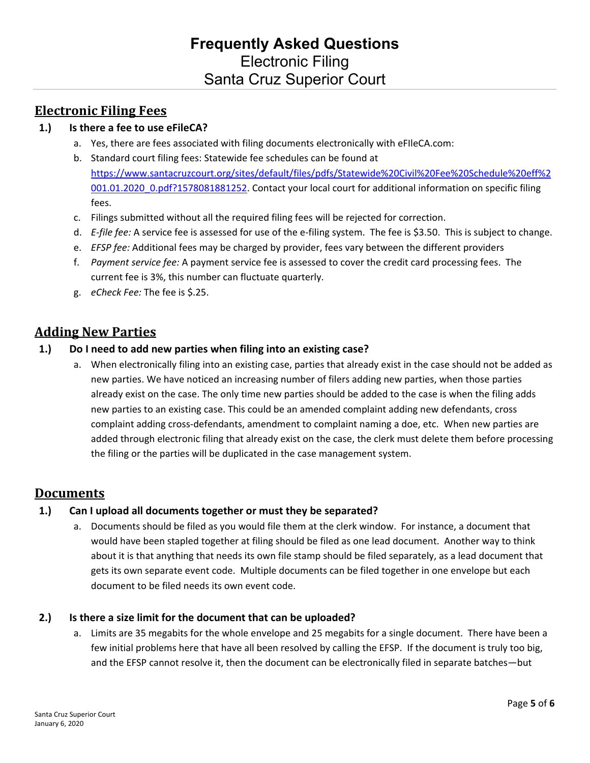# <span id="page-4-0"></span>**Electronic Filing Fees**

#### <span id="page-4-1"></span>**1.) Is there a fee to use eFileCA?**

- a. Yes, there are fees associated with filing documents electronically with eFIleCA.com:
- b. Standard court filing fees: Statewide fee schedules can be found at [https://www.santacruzcourt.org/sites/default/files/pdfs/Statewide%20Civil%20Fee%20Schedule%20eff%2](https://www.santacruzcourt.org/sites/default/files/pdfs/Statewide%20Civil%20Fee%20Schedule%20eff%2001.01.2020_0.pdf?1578081881252) [001.01.2020\\_0.pdf?1578081881252.](https://www.santacruzcourt.org/sites/default/files/pdfs/Statewide%20Civil%20Fee%20Schedule%20eff%2001.01.2020_0.pdf?1578081881252) Contact your local court for additional information on specific filing fees.
- c. Filings submitted without all the required filing fees will be rejected for correction.
- d. *E-file fee:* A service fee is assessed for use of the e-filing system. The fee is \$3.50. This is subject to change.
- e. *EFSP fee:* Additional fees may be charged by provider, fees vary between the different providers
- f. *Payment service fee:* A payment service fee is assessed to cover the credit card processing fees. The current fee is 3%, this number can fluctuate quarterly.
- g. *eCheck Fee:* The fee is \$.25.

## <span id="page-4-2"></span>**Adding New Parties**

#### <span id="page-4-3"></span>**1.) Do I need to add new parties when filing into an existing case?**

a. When electronically filing into an existing case, parties that already exist in the case should not be added as new parties. We have noticed an increasing number of filers adding new parties, when those parties already exist on the case. The only time new parties should be added to the case is when the filing adds new parties to an existing case. This could be an amended complaint adding new defendants, cross complaint adding cross-defendants, amendment to complaint naming a doe, etc. When new parties are added through electronic filing that already exist on the case, the clerk must delete them before processing the filing or the parties will be duplicated in the case management system.

## <span id="page-4-4"></span>**Documents**

#### <span id="page-4-5"></span>**1.) Can I upload all documents together or must they be separated?**

a. Documents should be filed as you would file them at the clerk window. For instance, a document that would have been stapled together at filing should be filed as one lead document. Another way to think about it is that anything that needs its own file stamp should be filed separately, as a lead document that gets its own separate event code. Multiple documents can be filed together in one envelope but each document to be filed needs its own event code.

#### <span id="page-4-6"></span>**2.) Is there a size limit for the document that can be uploaded?**

a. Limits are 35 megabits for the whole envelope and 25 megabits for a single document. There have been a few initial problems here that have all been resolved by calling the EFSP. If the document is truly too big, and the EFSP cannot resolve it, then the document can be electronically filed in separate batches—but